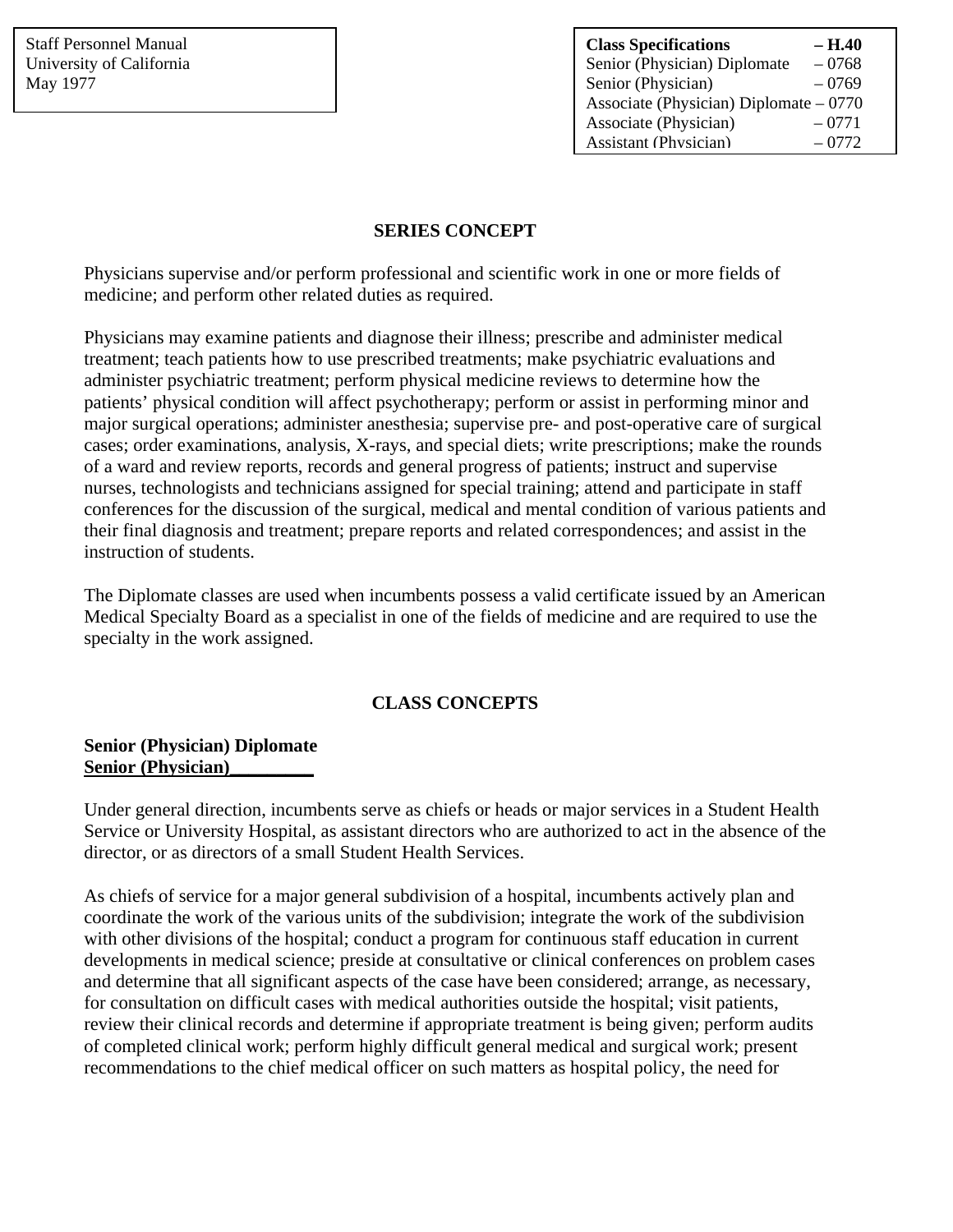| <b>Class Specifications</b>             | – H.40  |
|-----------------------------------------|---------|
| Senior (Physician) Diplomate            | $-0768$ |
| Senior (Physician)                      | $-0769$ |
| Associate (Physician) Diplomate $-0770$ |         |
| Associate (Physician)                   | $-0771$ |
| <b>Assistant (Physician)</b>            | $-0772$ |

### **SERIES CONCEPT**

Physicians supervise and/or perform professional and scientific work in one or more fields of medicine; and perform other related duties as required.

Physicians may examine patients and diagnose their illness; prescribe and administer medical treatment; teach patients how to use prescribed treatments; make psychiatric evaluations and administer psychiatric treatment; perform physical medicine reviews to determine how the patients' physical condition will affect psychotherapy; perform or assist in performing minor and major surgical operations; administer anesthesia; supervise pre- and post-operative care of surgical cases; order examinations, analysis, X-rays, and special diets; write prescriptions; make the rounds of a ward and review reports, records and general progress of patients; instruct and supervise nurses, technologists and technicians assigned for special training; attend and participate in staff conferences for the discussion of the surgical, medical and mental condition of various patients and their final diagnosis and treatment; prepare reports and related correspondences; and assist in the instruction of students.

The Diplomate classes are used when incumbents possess a valid certificate issued by an American Medical Specialty Board as a specialist in one of the fields of medicine and are required to use the specialty in the work assigned.

# **CLASS CONCEPTS**

#### **Senior (Physician) Diplomate Senior (Physician)\_\_\_\_\_\_\_\_\_**

Under general direction, incumbents serve as chiefs or heads or major services in a Student Health Service or University Hospital, as assistant directors who are authorized to act in the absence of the director, or as directors of a small Student Health Services.

As chiefs of service for a major general subdivision of a hospital, incumbents actively plan and coordinate the work of the various units of the subdivision; integrate the work of the subdivision with other divisions of the hospital; conduct a program for continuous staff education in current developments in medical science; preside at consultative or clinical conferences on problem cases and determine that all significant aspects of the case have been considered; arrange, as necessary, for consultation on difficult cases with medical authorities outside the hospital; visit patients, review their clinical records and determine if appropriate treatment is being given; perform audits of completed clinical work; perform highly difficult general medical and surgical work; present recommendations to the chief medical officer on such matters as hospital policy, the need for